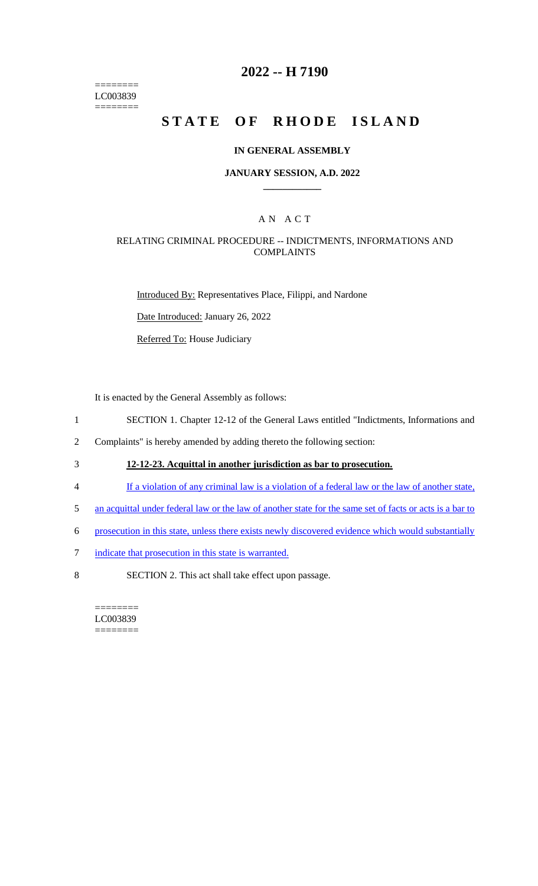======== LC003839 ========

# **2022 -- H 7190**

# **STATE OF RHODE ISLAND**

#### **IN GENERAL ASSEMBLY**

### **JANUARY SESSION, A.D. 2022 \_\_\_\_\_\_\_\_\_\_\_\_**

## A N A C T

## RELATING CRIMINAL PROCEDURE -- INDICTMENTS, INFORMATIONS AND COMPLAINTS

Introduced By: Representatives Place, Filippi, and Nardone

Date Introduced: January 26, 2022

Referred To: House Judiciary

It is enacted by the General Assembly as follows:

- 1 SECTION 1. Chapter 12-12 of the General Laws entitled "Indictments, Informations and
- 2 Complaints" is hereby amended by adding thereto the following section:
- 3 **12-12-23. Acquittal in another jurisdiction as bar to prosecution.**
- 4 If a violation of any criminal law is a violation of a federal law or the law of another state,
- 5 an acquittal under federal law or the law of another state for the same set of facts or acts is a bar to
- 6 prosecution in this state, unless there exists newly discovered evidence which would substantially
- 7 indicate that prosecution in this state is warranted.
- 8 SECTION 2. This act shall take effect upon passage.

======== LC003839 ========